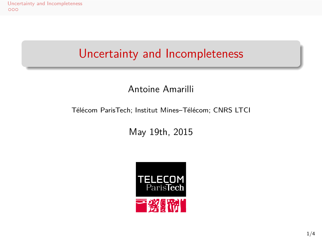Uncertainty and Incompleteness<br>000

# Uncertainty and Incompleteness

Antoine Amarilli

Télécom ParisTech; Institut Mines–Télécom; CNRS LTCI

May 19th, 2015

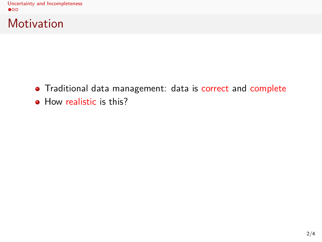Uncertainty and Incompleteness<br>  $\bullet$ 00

Motivation

- Traditional data management: data is correct and complete
- How realistic is this?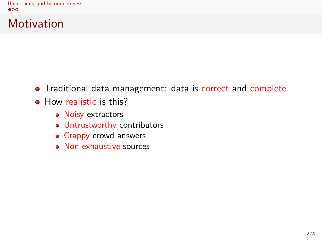Uncertainty and Incompleteness<br> $\bullet$ 00

**Motivation** 

- Traditional data management: data is correct and complete
- How realistic is this?
	- Noisy extractors
	- Untrustworthy contributors
	- Crappy crowd answers
	- Non-exhaustive sources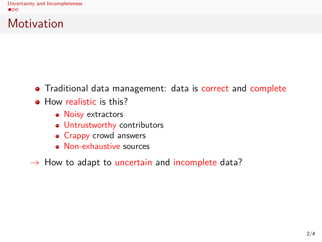Uncertainty and Incompleteness<br>  $\bullet$ <sup>OO</sup>

Motivation

- Traditional data management: data is correct and complete
- How realistic is this?
	- Noisy extractors
	- Untrustworthy contributors
	- Crappy crowd answers
	- Non-exhaustive sources
- *→* How to adapt to uncertain and incomplete data?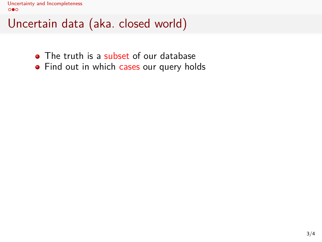- The truth is a subset of our database
- Find out in which cases our query holds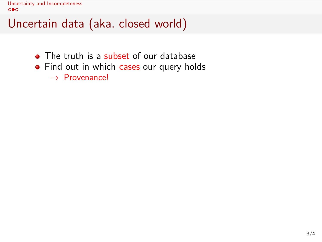- The truth is a subset of our database
- Find out in which cases our query holds *→* Provenance!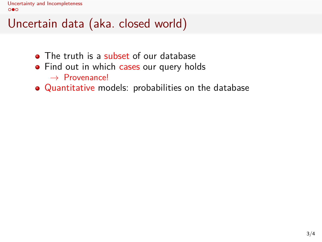- The truth is a subset of our database
- Find out in which cases our query holds *→* Provenance!
- Quantitative models: probabilities on the database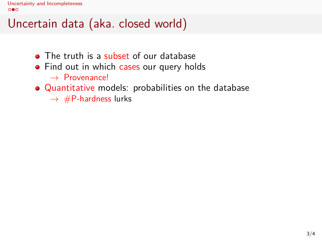- The truth is a subset of our database
- Find out in which cases our query holds *→* Provenance!
- Quantitative models: probabilities on the database
	- *→* #P-hardness lurks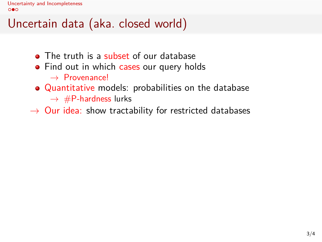- The truth is a subset of our database
- Find out in which cases our query holds *→* Provenance!
- Quantitative models: probabilities on the database *→* #P-hardness lurks
- *→* Our idea: show tractability for restricted databases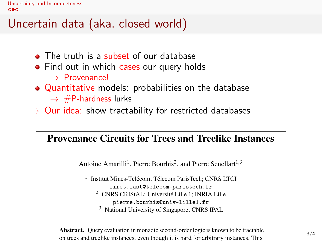### Uncertain data (aka. closed world)

- The truth is a subset of our database
- Find out in which cases our query holds *→* Provenance!
- Quantitative models: probabilities on the database *→* #P-hardness lurks
- *→* Our idea: show tractability for restricted databases

#### Provenance Circuits for Trees and Treelike Instances

Antoine Amarilli<sup>1</sup>, Pierre Bourhis<sup>2</sup>, and Pierre Senellart<sup>1,3</sup>

<sup>1</sup> Institut Mines-Télécom; Télécom ParisTech; CNRS LTCI first.last@telecom-paristech.fr <sup>2</sup> CNRS CRIStAL; Université Lille 1; INRIA Lille pierre.bourhis@univ-lille1.fr

<sup>3</sup> National University of Singapore; CNRS IPAL

Abstract. Query evaluation in monadic second-order logic is known to be tractable on trees and treelike instances, even though it is hard for arbitrary instances. This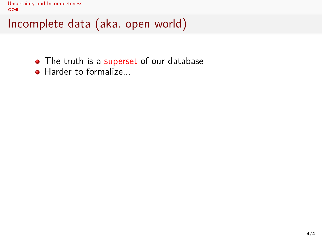- The truth is a superset of our database
- Harder to formalize...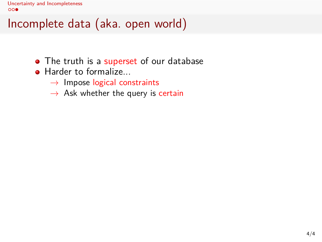Uncertainty and Incompleteness<br>  $\overline{\text{oo}}$ 

- The truth is a superset of our database
- Harder to formalize...
	- *→* Impose logical constraints
	- *→* Ask whether the query is certain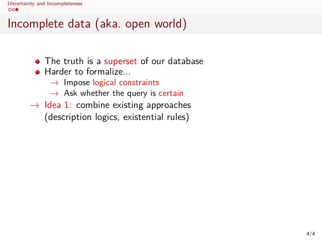- The truth is a superset of our database
- Harder to formalize...
	- *→* Impose logical constraints
	- *→* Ask whether the query is certain
- *→* Idea 1: combine existing approaches (description logics, existential rules)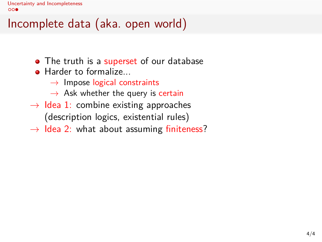- The truth is a superset of our database
- Harder to formalize...
	- *→* Impose logical constraints
	- *→* Ask whether the query is certain
- *→* Idea 1: combine existing approaches (description logics, existential rules)
- *→* Idea 2: what about assuming finiteness?